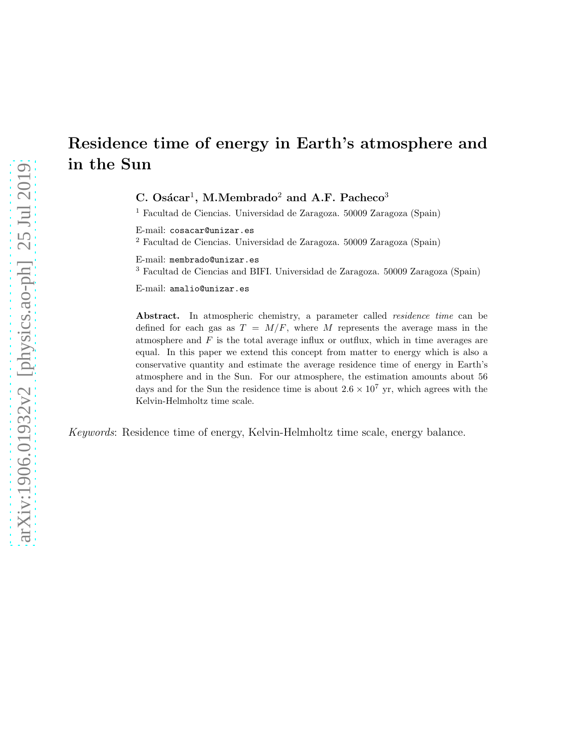# Residence time of energy in Earth's atmosphere and in the Sun

C. Osácar<sup>1</sup>, M.Membrado<sup>2</sup> and A.F. Pacheco<sup>3</sup>

<sup>1</sup> Facultad de Ciencias. Universidad de Zaragoza. 50009 Zaragoza (Spain)

E-mail: cosacar@unizar.es

<sup>2</sup> Facultad de Ciencias. Universidad de Zaragoza. 50009 Zaragoza (Spain)

E-mail: membrado@unizar.es

<sup>3</sup> Facultad de Ciencias and BIFI. Universidad de Zaragoza. 50009 Zaragoza (Spain)

E-mail: amalio@unizar.es

Abstract. In atmospheric chemistry, a parameter called *residence time* can be defined for each gas as  $T = M/F$ , where M represents the average mass in the atmosphere and  $F$  is the total average influx or outflux, which in time averages are equal. In this paper we extend this concept from matter to energy which is also a conservative quantity and estimate the average residence time of energy in Earth's atmosphere and in the Sun. For our atmosphere, the estimation amounts about 56 days and for the Sun the residence time is about  $2.6 \times 10^7$  yr, which agrees with the Kelvin-Helmholtz time scale.

Keywords: Residence time of energy, Kelvin-Helmholtz time scale, energy balance.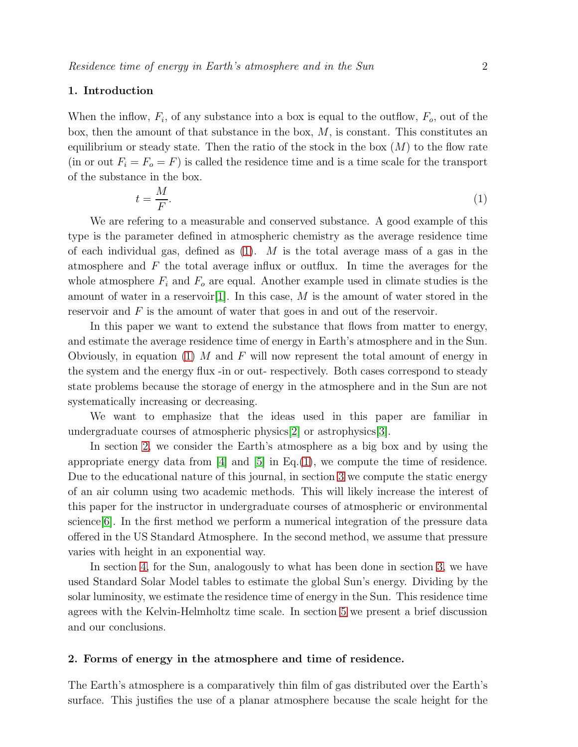### 1. Introduction

When the inflow,  $F_i$ , of any substance into a box is equal to the outflow,  $F_o$ , out of the box, then the amount of that substance in the box,  $M$ , is constant. This constitutes an equilibrium or steady state. Then the ratio of the stock in the box  $(M)$  to the flow rate (in or out  $F_i = F_o = F$ ) is called the residence time and is a time scale for the transport of the substance in the box.

<span id="page-1-0"></span>
$$
t = \frac{M}{F}.\tag{1}
$$

We are refering to a measurable and conserved substance. A good example of this type is the parameter defined in atmospheric chemistry as the average residence time of each individual gas, defined as  $(1)$ . M is the total average mass of a gas in the atmosphere and  $F$  the total average influx or outflux. In time the averages for the whole atmosphere  $F_i$  and  $F_o$  are equal. Another example used in climate studies is the amount of water in a reservoir [\[1\]](#page-6-0). In this case,  $M$  is the amount of water stored in the reservoir and F is the amount of water that goes in and out of the reservoir.

In this paper we want to extend the substance that flows from matter to energy, and estimate the average residence time of energy in Earth's atmosphere and in the Sun. Obviously, in equation [\(1\)](#page-1-0) M and F will now represent the total amount of energy in the system and the energy flux -in or out- respectively. Both cases correspond to steady state problems because the storage of energy in the atmosphere and in the Sun are not systematically increasing or decreasing.

We want to emphasize that the ideas used in this paper are familiar in undergraduate courses of atmospheric physics[\[2\]](#page-6-1) or astrophysics[\[3\]](#page-6-2).

In section [2,](#page-1-1) we consider the Earth's atmosphere as a big box and by using the appropriate energy data from  $[4]$  and  $[5]$  in Eq.[\(1\)](#page-1-0), we compute the time of residence. Due to the educational nature of this journal, in section [3](#page-2-0) we compute the static energy of an air column using two academic methods. This will likely increase the interest of this paper for the instructor in undergraduate courses of atmospheric or environmental science[\[6\]](#page-6-5). In the first method we perform a numerical integration of the pressure data offered in the US Standard Atmosphere. In the second method, we assume that pressure varies with height in an exponential way.

In section [4,](#page-4-0) for the Sun, analogously to what has been done in section [3,](#page-2-0) we have used Standard Solar Model tables to estimate the global Sun's energy. Dividing by the solar luminosity, we estimate the residence time of energy in the Sun. This residence time agrees with the Kelvin-Helmholtz time scale. In section [5](#page-5-0) we present a brief discussion and our conclusions.

#### <span id="page-1-1"></span>2. Forms of energy in the atmosphere and time of residence.

The Earth's atmosphere is a comparatively thin film of gas distributed over the Earth's surface. This justifies the use of a planar atmosphere because the scale height for the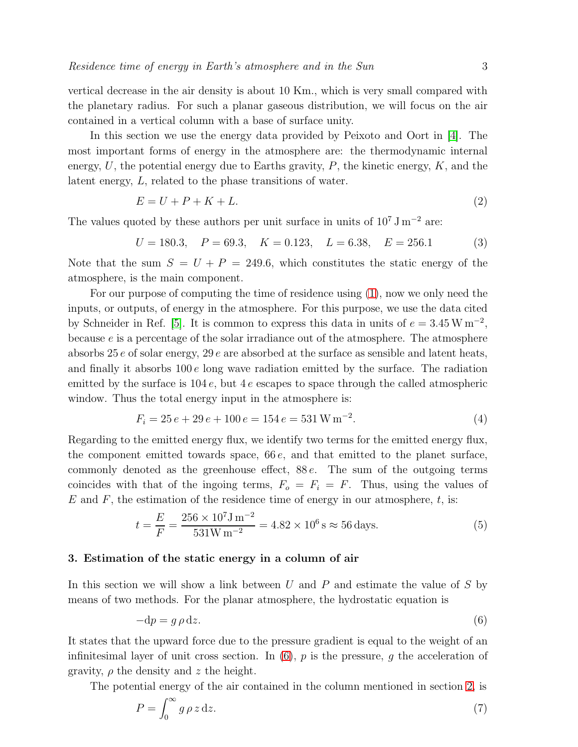vertical decrease in the air density is about 10 Km., which is very small compared with the planetary radius. For such a planar gaseous distribution, we will focus on the air contained in a vertical column with a base of surface unity.

In this section we use the energy data provided by Peixoto and Oort in [\[4\]](#page-6-3). The most important forms of energy in the atmosphere are: the thermodynamic internal energy,  $U$ , the potential energy due to Earths gravity,  $P$ , the kinetic energy,  $K$ , and the latent energy, L, related to the phase transitions of water.

$$
E = U + P + K + L.\tag{2}
$$

The values quoted by these authors per unit surface in units of  $10<sup>7</sup>$  J m<sup>-2</sup> are:

$$
U = 180.3, \quad P = 69.3, \quad K = 0.123, \quad L = 6.38, \quad E = 256.1 \tag{3}
$$

Note that the sum  $S = U + P = 249.6$ , which constitutes the static energy of the atmosphere, is the main component.

For our purpose of computing the time of residence using [\(1\)](#page-1-0), now we only need the inputs, or outputs, of energy in the atmosphere. For this purpose, we use the data cited by Schneider in Ref. [\[5\]](#page-6-4). It is common to express this data in units of  $e = 3.45 \,\mathrm{W m^{-2}}$ , because e is a percentage of the solar irradiance out of the atmosphere. The atmosphere absorbs  $25 e$  of solar energy,  $29 e$  are absorbed at the surface as sensible and latent heats, and finally it absorbs  $100 e$  long wave radiation emitted by the surface. The radiation emitted by the surface is  $104 e$ , but  $4 e$  escapes to space through the called atmospheric window. Thus the total energy input in the atmosphere is:

$$
F_i = 25 e + 29 e + 100 e = 154 e = 531 W m^{-2}.
$$
\n<sup>(4)</sup>

Regarding to the emitted energy flux, we identify two terms for the emitted energy flux, the component emitted towards space,  $66e$ , and that emitted to the planet surface, commonly denoted as the greenhouse effect, 88 e. The sum of the outgoing terms coincides with that of the ingoing terms,  $F_o = F_i = F$ . Thus, using the values of E and F, the estimation of the residence time of energy in our atmosphere, t, is:

$$
t = \frac{E}{F} = \frac{256 \times 10^7 \text{J m}^{-2}}{531 \text{W m}^{-2}} = 4.82 \times 10^6 \text{ s} \approx 56 \text{ days.}
$$
 (5)

#### <span id="page-2-0"></span>3. Estimation of the static energy in a column of air

In this section we will show a link between  $U$  and  $P$  and estimate the value of  $S$  by means of two methods. For the planar atmosphere, the hydrostatic equation is

<span id="page-2-1"></span>
$$
-dp = g \rho dz. \tag{6}
$$

It states that the upward force due to the pressure gradient is equal to the weight of an infinitesimal layer of unit cross section. In  $(6)$ , p is the pressure, q the acceleration of gravity,  $\rho$  the density and z the height.

The potential energy of the air contained in the column mentioned in section [2,](#page-1-1) is

<span id="page-2-2"></span>
$$
P = \int_0^\infty g \, \rho \, z \, \mathrm{d}z. \tag{7}
$$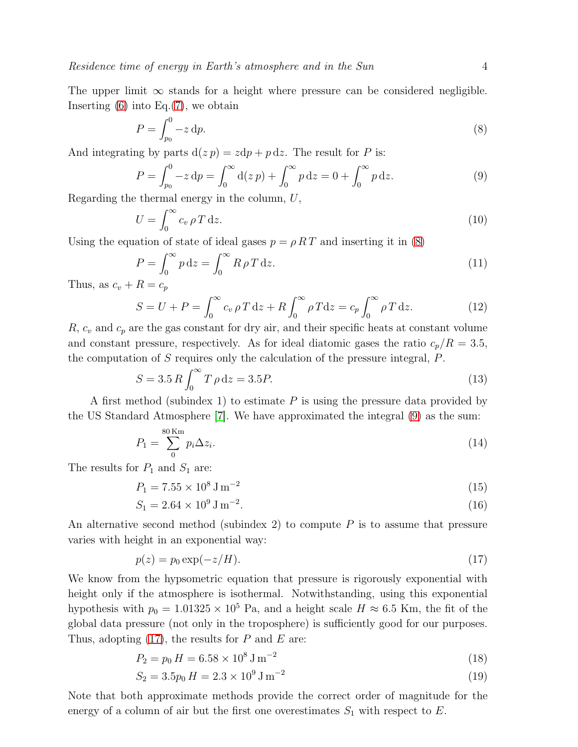The upper limit  $\infty$  stands for a height where pressure can be considered negligible. Inserting  $(6)$  into Eq. $(7)$ , we obtain

<span id="page-3-0"></span>
$$
P = \int_{p_0}^0 -z \, \mathrm{d}p. \tag{8}
$$

And integrating by parts  $d(z p) = z dp + p dz$ . The result for P is:

<span id="page-3-1"></span>
$$
P = \int_{p_0}^{0} -z \, dp = \int_{0}^{\infty} d(z \, p) + \int_{0}^{\infty} p \, dz = 0 + \int_{0}^{\infty} p \, dz. \tag{9}
$$

Regarding the thermal energy in the column,  $U$ ,

$$
U = \int_0^\infty c_v \, \rho \, T \, \mathrm{d}z. \tag{10}
$$

Using the equation of state of ideal gases  $p = \rho RT$  and inserting it in [\(8\)](#page-3-0)

$$
P = \int_0^\infty p \, \mathrm{d}z = \int_0^\infty R \, \rho \, T \, \mathrm{d}z. \tag{11}
$$

Thus, as  $c_v + R = c_p$ 

$$
S = U + P = \int_0^\infty c_v \, \rho \, T \, \mathrm{d}z + R \int_0^\infty \rho \, T \, \mathrm{d}z = c_p \int_0^\infty \rho \, T \, \mathrm{d}z. \tag{12}
$$

 $R, c_v$  and  $c_p$  are the gas constant for dry air, and their specific heats at constant volume and constant pressure, respectively. As for ideal diatomic gases the ratio  $c_p/R = 3.5$ , the computation of  $S$  requires only the calculation of the pressure integral,  $P$ .

$$
S = 3.5 R \int_0^\infty T \rho \, \mathrm{d}z = 3.5 P. \tag{13}
$$

A first method (subindex 1) to estimate  $P$  is using the pressure data provided by the US Standard Atmosphere [\[7\]](#page-6-6). We have approximated the integral [\(9\)](#page-3-1) as the sum:

$$
P_1 = \sum_{0}^{80 \text{ Km}} p_i \Delta z_i. \tag{14}
$$

The results for  $P_1$  and  $S_1$  are:

$$
P_1 = 7.55 \times 10^8 \,\text{J m}^{-2} \tag{15}
$$

$$
S_1 = 2.64 \times 10^9 \,\text{J m}^{-2}.\tag{16}
$$

An alternative second method (subindex 2) to compute  $P$  is to assume that pressure varies with height in an exponential way:

<span id="page-3-2"></span>
$$
p(z) = p_0 \exp(-z/H). \tag{17}
$$

We know from the hypsometric equation that pressure is rigorously exponential with height only if the atmosphere is isothermal. Notwithstanding, using this exponential hypothesis with  $p_0 = 1.01325 \times 10^5$  Pa, and a height scale  $H \approx 6.5$  Km, the fit of the global data pressure (not only in the troposphere) is sufficiently good for our purposes. Thus, adopting  $(17)$ , the results for P and E are:

$$
P_2 = p_0 H = 6.58 \times 10^8 \,\text{J m}^{-2} \tag{18}
$$

$$
S_2 = 3.5p_0 H = 2.3 \times 10^9 \,\text{J m}^{-2} \tag{19}
$$

Note that both approximate methods provide the correct order of magnitude for the energy of a column of air but the first one overestimates  $S_1$  with respect to E.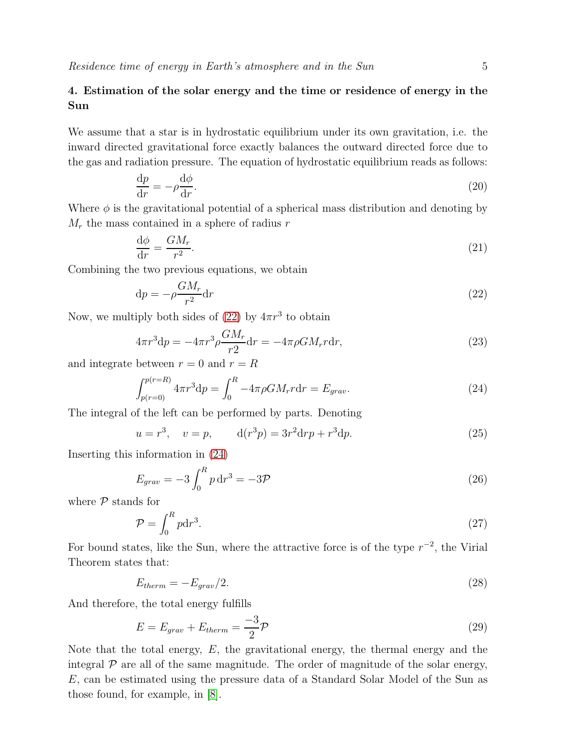# <span id="page-4-0"></span>4. Estimation of the solar energy and the time or residence of energy in the Sun

We assume that a star is in hydrostatic equilibrium under its own gravitation, i.e. the inward directed gravitational force exactly balances the outward directed force due to the gas and radiation pressure. The equation of hydrostatic equilibrium reads as follows:

$$
\frac{\mathrm{d}p}{\mathrm{d}r} = -\rho \frac{\mathrm{d}\phi}{\mathrm{d}r}.\tag{20}
$$

Where  $\phi$  is the gravitational potential of a spherical mass distribution and denoting by  $M_r$  the mass contained in a sphere of radius r

$$
\frac{\mathrm{d}\phi}{\mathrm{d}r} = \frac{GM_r}{r^2}.\tag{21}
$$

Combining the two previous equations, we obtain

<span id="page-4-1"></span>
$$
dp = -\rho \frac{GM_r}{r^2} dr \tag{22}
$$

Now, we multiply both sides of  $(22)$  by  $4\pi r^3$  to obtain

$$
4\pi r^3 \mathrm{d}p = -4\pi r^3 \rho \frac{GM_r}{r^2} \mathrm{d}r = -4\pi \rho GM_r r \mathrm{d}r,\tag{23}
$$

and integrate between  $r = 0$  and  $r = R$ 

<span id="page-4-2"></span>
$$
\int_{p(r=0)}^{p(r=R)} 4\pi r^3 dp = \int_0^R -4\pi \rho GM_r r dr = E_{grav}.
$$
\n(24)

The integral of the left can be performed by parts. Denoting

$$
u = r^3
$$
,  $v = p$ ,  $d(r^3p) = 3r^2drp + r^3dp$ . (25)

Inserting this information in [\(24\)](#page-4-2)

$$
E_{grav} = -3 \int_0^R p \, \mathrm{d}r^3 = -3\mathcal{P} \tag{26}
$$

where  $P$  stands for

<span id="page-4-3"></span>
$$
\mathcal{P} = \int_0^R p \mathrm{d}r^3. \tag{27}
$$

For bound states, like the Sun, where the attractive force is of the type  $r^{-2}$ , the Virial Theorem states that:

$$
E_{therm} = -E_{grav}/2. \tag{28}
$$

And therefore, the total energy fulfills

$$
E = E_{grav} + E_{therm} = \frac{-3}{2}\mathcal{P}
$$
\n(29)

Note that the total energy, E, the gravitational energy, the thermal energy and the integral  $\mathcal P$  are all of the same magnitude. The order of magnitude of the solar energy, E, can be estimated using the pressure data of a Standard Solar Model of the Sun as those found, for example, in [\[8\]](#page-6-7).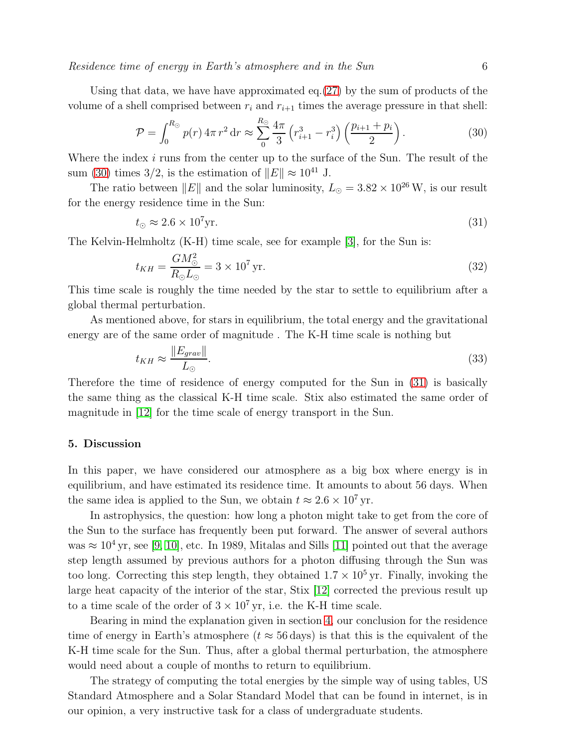Residence time of energy in Earth's atmosphere and in the Sun 6

Using that data, we have have approximated eq.  $(27)$  by the sum of products of the volume of a shell comprised between  $r_i$  and  $r_{i+1}$  times the average pressure in that shell:

<span id="page-5-1"></span>
$$
\mathcal{P} = \int_0^{R_{\odot}} p(r) 4\pi r^2 dr \approx \sum_0^{R_{\odot}} \frac{4\pi}{3} \left( r_{i+1}^3 - r_i^3 \right) \left( \frac{p_{i+1} + p_i}{2} \right). \tag{30}
$$

Where the index i runs from the center up to the surface of the Sun. The result of the sum [\(30\)](#page-5-1) times 3/2, is the estimation of  $||E|| \approx 10^{41}$  J.

The ratio between  $||E||$  and the solar luminosity,  $L_{\odot} = 3.82 \times 10^{26}$  W, is our result for the energy residence time in the Sun:

<span id="page-5-2"></span>
$$
t_{\odot} \approx 2.6 \times 10^7 \text{yr}.\tag{31}
$$

The Kelvin-Helmholtz (K-H) time scale, see for example [\[3\]](#page-6-2), for the Sun is:

$$
t_{KH} = \frac{GM_{\odot}^2}{R_{\odot}L_{\odot}} = 3 \times 10^7 \,\text{yr}.\tag{32}
$$

This time scale is roughly the time needed by the star to settle to equilibrium after a global thermal perturbation.

As mentioned above, for stars in equilibrium, the total energy and the gravitational energy are of the same order of magnitude . The K-H time scale is nothing but

$$
t_{KH} \approx \frac{\|E_{grav}\|}{L_{\odot}}.\tag{33}
$$

Therefore the time of residence of energy computed for the Sun in [\(31\)](#page-5-2) is basically the same thing as the classical K-H time scale. Stix also estimated the same order of magnitude in [\[12\]](#page-6-8) for the time scale of energy transport in the Sun.

#### <span id="page-5-0"></span>5. Discussion

In this paper, we have considered our atmosphere as a big box where energy is in equilibrium, and have estimated its residence time. It amounts to about 56 days. When the same idea is applied to the Sun, we obtain  $t \approx 2.6 \times 10^7$  yr.

In astrophysics, the question: how long a photon might take to get from the core of the Sun to the surface has frequently been put forward. The answer of several authors was  $\approx 10^4$  yr, see [\[9,](#page-6-9) [10\]](#page-6-10), etc. In 1989, Mitalas and Sills [\[11\]](#page-6-11) pointed out that the average step length assumed by previous authors for a photon diffusing through the Sun was too long. Correcting this step length, they obtained  $1.7 \times 10^5$  yr. Finally, invoking the large heat capacity of the interior of the star, Stix [\[12\]](#page-6-8) corrected the previous result up to a time scale of the order of  $3 \times 10^7$  yr, i.e. the K-H time scale.

Bearing in mind the explanation given in section [4,](#page-4-0) our conclusion for the residence time of energy in Earth's atmosphere ( $t \approx 56 \text{ days}$ ) is that this is the equivalent of the K-H time scale for the Sun. Thus, after a global thermal perturbation, the atmosphere would need about a couple of months to return to equilibrium.

The strategy of computing the total energies by the simple way of using tables, US Standard Atmosphere and a Solar Standard Model that can be found in internet, is in our opinion, a very instructive task for a class of undergraduate students.